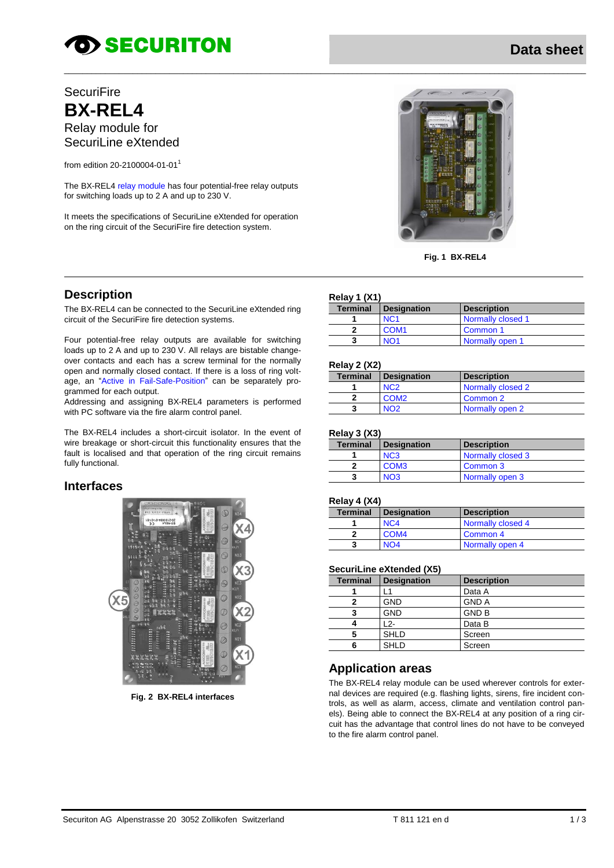# **TO SECURITON**

# **SecuriFire BX-REL4** Relay module for SecuriLine eXtended

from edition 20-2100004-01-01<sup>1</sup>

The BX-REL4 relay module has four potential-free relay outputs for switching loads up to 2 A and up to 230 V.

It meets the specifications of SecuriLine eXtended for operation on the ring circuit of the SecuriFire fire detection system.



**Fig. 1 BX-REL4**

# **Description**

The BX-REL4 can be connected to the SecuriLine eXtended ring circuit of the SecuriFire fire detection systems.

Four potential-free relay outputs are available for switching loads up to 2 A and up to 230 V. All relays are bistable changeover contacts and each has a screw terminal for the normally open and normally closed contact. If there is a loss of ring voltage, an "Active in Fail-Safe-Position" can be separately programmed for each output.

Addressing and assigning BX-REL4 parameters is performed with PC software via the fire alarm control panel.

The BX-REL4 includes a short-circuit isolator. In the event of wire breakage or short-circuit this functionality ensures that the fault is localised and that operation of the ring circuit remains fully functional.

### **Interfaces**



**Fig. 2 BX-REL4 interfaces**

#### **Relay 1 (X1)**

\_\_\_\_\_\_\_\_\_\_\_\_\_\_\_\_\_\_\_\_\_\_\_\_\_\_\_\_\_\_\_\_\_\_\_\_\_\_\_\_\_\_\_\_\_\_\_\_\_\_\_\_\_\_\_\_\_\_\_\_\_\_\_\_\_\_\_\_\_\_\_\_\_\_\_\_\_\_\_\_\_\_\_\_\_\_\_\_\_\_\_\_\_\_\_\_\_\_\_\_\_\_\_\_\_\_\_\_\_\_\_\_\_\_

| $15544 + 1711$  |                             |                    |
|-----------------|-----------------------------|--------------------|
| <b>Terminal</b> | <b>Designation</b>          | <b>Description</b> |
|                 | N <sub>C</sub> <sub>1</sub> | Normally closed 1  |
|                 | COM <sub>1</sub>            | Common 1           |
|                 | N <sub>O</sub> 1            | Normally open 1    |

#### **Relay 2 (X2)**

| <b>Terminal</b> | <b>Designation</b> | <b>Description</b> |
|-----------------|--------------------|--------------------|
|                 |                    | Normally closed 2  |
|                 | COM <sub>2</sub>   | Common 2           |
|                 |                    | Normally open 2    |

#### **Relay 3 (X3)**

| $\cdots$ , $\cdots$ , $\cdots$ , |                  |                    |
|----------------------------------|------------------|--------------------|
| <b>Terminal</b>                  | Designation      | <b>Description</b> |
|                                  | N <sub>C</sub> 3 | Normally closed 3  |
|                                  | COM <sub>3</sub> | Common 3           |
|                                  | N <sub>O</sub> 3 | Normally open 3    |

#### **Relay 4 (X4)**

| <b>Terminal</b> | <b>Designation</b> | <b>Description</b> |
|-----------------|--------------------|--------------------|
|                 | N <sub>C</sub> 4   | Normally closed 4  |
|                 | COM <sub>4</sub>   | Common 4           |
|                 | NO4                | Normally open 4    |

#### **SecuriLine eXtended (X5)**

| <b>Terminal</b> | <b>Designation</b> | <b>Description</b> |
|-----------------|--------------------|--------------------|
|                 |                    | Data A             |
|                 | <b>GND</b>         | <b>GND A</b>       |
| 3               | <b>GND</b>         | <b>GND B</b>       |
|                 | 12-                | Data B             |
| 5               | <b>SHLD</b>        | Screen             |
|                 | <b>SHLD</b>        | Screen             |

### **Application areas**

The BX-REL4 relay module can be used wherever controls for external devices are required (e.g. flashing lights, sirens, fire incident controls, as well as alarm, access, climate and ventilation control panels). Being able to connect the BX-REL4 at any position of a ring circuit has the advantage that control lines do not have to be conveyed to the fire alarm control panel.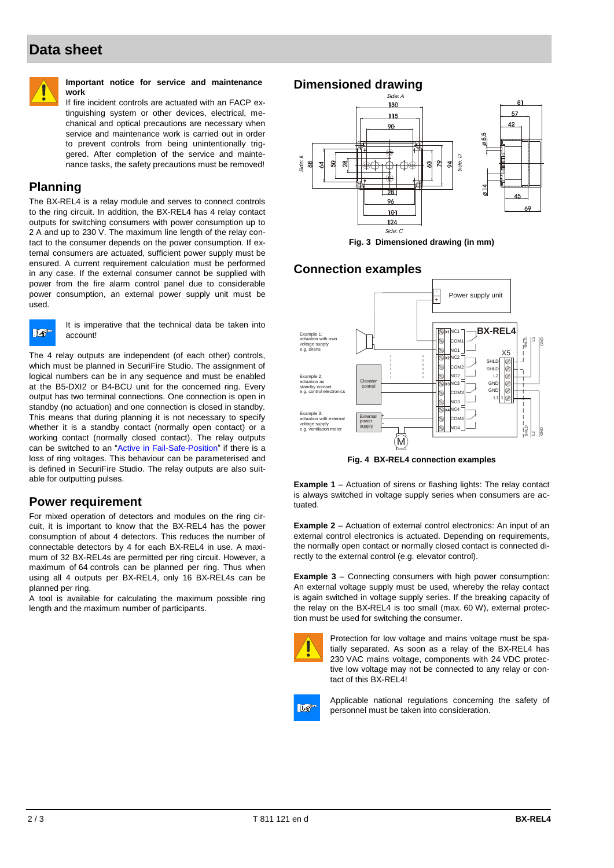# **Data sheet**



#### **Important notice for service and maintenance work**

If fire incident controls are actuated with an FACP extinguishing system or other devices, electrical, mechanical and optical precautions are necessary when service and maintenance work is carried out in order to prevent controls from being unintentionally triggered. After completion of the service and maintenance tasks, the safety precautions must be removed!

# **Planning**

The BX-REL4 is a relay module and serves to connect controls to the ring circuit. In addition, the BX-REL4 has 4 relay contact outputs for switching consumers with power consumption up to 2 A and up to 230 V. The maximum line length of the relay contact to the consumer depends on the power consumption. If external consumers are actuated, sufficient power supply must be ensured. A current requirement calculation must be performed in any case. If the external consumer cannot be supplied with power from the fire alarm control panel due to considerable power consumption, an external power supply unit must be used.



It is imperative that the technical data be taken into account!

The 4 relay outputs are independent (of each other) controls, which must be planned in SecuriFire Studio. The assignment of logical numbers can be in any sequence and must be enabled at the B5-DXI2 or B4-BCU unit for the concerned ring. Every output has two terminal connections. One connection is open in standby (no actuation) and one connection is closed in standby. This means that during planning it is not necessary to specify whether it is a standby contact (normally open contact) or a working contact (normally closed contact). The relay outputs can be switched to an "Active in Fail-Safe-Position" if there is a loss of ring voltages. This behaviour can be parameterised and is defined in SecuriFire Studio. The relay outputs are also suitable for outputting pulses.

#### **Power requirement**

For mixed operation of detectors and modules on the ring circuit, it is important to know that the BX-REL4 has the power consumption of about 4 detectors. This reduces the number of connectable detectors by 4 for each BX-REL4 in use. A maximum of 32 BX-REL4s are permitted per ring circuit. However, a maximum of 64 controls can be planned per ring. Thus when using all 4 outputs per BX-REL4, only 16 BX-REL4s can be planned per ring.

A tool is available for calculating the maximum possible ring length and the maximum number of participants.

# **Dimensioned drawing**



**Fig. 3 Dimensioned drawing (in mm)**

### **Connection examples**



**Fig. 4 BX-REL4 connection examples**

**Example 1** – Actuation of sirens or flashing lights: The relay contact is always switched in voltage supply series when consumers are actuated.

**Example 2** – Actuation of external control electronics: An input of an external control electronics is actuated. Depending on requirements, the normally open contact or normally closed contact is connected directly to the external control (e.g. elevator control).

**Example 3** – Connecting consumers with high power consumption: An external voltage supply must be used, whereby the relay contact is again switched in voltage supply series. If the breaking capacity of the relay on the BX-REL4 is too small (max. 60 W), external protection must be used for switching the consumer.



Protection for low voltage and mains voltage must be spatially separated. As soon as a relay of the BX-REL4 has 230 VAC mains voltage, components with 24 VDC protective low voltage may not be connected to any relay or contact of this BX-REL4!



Applicable national regulations concerning the safety of personnel must be taken into consideration.